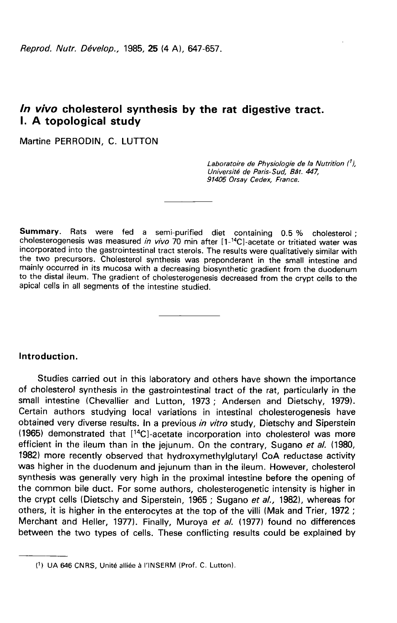# In vivo cholesterol synthesis by the rat digestive tract. I. A topological study

Martine PERRODIN, C. LUTTON

Laboratoire de Physiologie de la Nutrition ('), Université de Paris-Sud, Bât. 447, 91405 Orsay Cedex, France.

Summary. Rats were fed a semi-purified diet containing 0.5 % cholesterol; cholesterogenesis was measured in vivo 70 min after [1-<sup>14</sup>C]-acetate or tritiated water was incorporated into the gastrointestinal tract sterols. The results were qualitatively similar with the two precursors. Cholesterol synthesis was preponderant in the small intestine and mainly occurred in its mucosa with a decreasing biosynthetic gradient from the duodenum to the distal ileum. The gradient of cholesterogenesis decreased from the crypt cells to the apical cells in all segments of the intestine studied.

## Introduction.

Studies carried out in this laboratory and others have shown the importance of cholesterol synthesis in the gastrointestinal tract of the rat, particularly in the small intestine (Chevallier and Lutton, 1973 ; Andersen and Dietschy, 1979). Certain authors studying local variations in intestinal cholesterogenesis have obtained very diverse results. In a previous in vitro study, Dietschy and Siperstein (1965) demonstrated that [<sup>14</sup>C]-acetate incorporation into cholesterol was more Studies carried out in this laboratory and others have shown the importance<br>of cholesterol synthesis in the gastrointestinal tract of the rat, particularly in the<br>small intestine (Chevallier and Lutton, 1973; Andersen and efficient in the ileum than in the jejunum. On the contrary, Sugano et al. (1980, 1982) more recently observed that hydroxymethylglutary! CoA reductase activity was higher in the duodenum and jejunum than in the ileum. However, cholesterol synthesis was generally very high in the proximal intestine before the opening of the common bile duct. For some authors, cholesterogenetic intensity is higher in the crypt cells (Dietschy and Siperstein, 1965; Sugano et al., 1982), whereas for others, it is higher in the enterocytes at the top of the villi (Mak and Trier, 1972 ; Merchant and Heller, 1977). Finally, Muroya et al. (1977) found no differences between the two types of cells. These conflicting results could be explained by

<sup>(!)</sup> UA 646 CNRS, Unité alliée à l'INSERM (Prof. C. Lutton).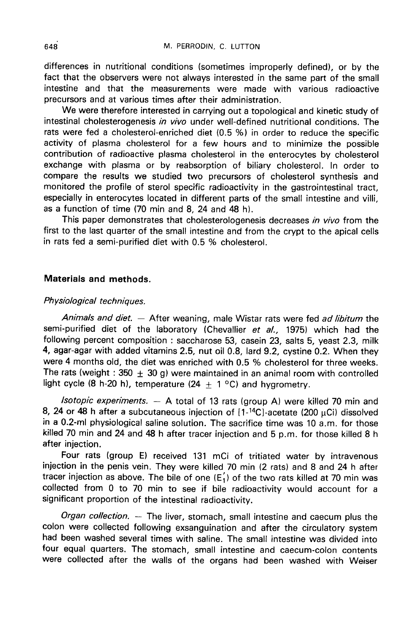differences in nutritional conditions (sometimes improperly defined), or by the fact that the observers were not always interested in the same part of the small intestine and that the measurements were made with various radioactive precursors and at various times after their administration.

We were therefore interested in carrying out a topological and kinetic study of intestinal cholesterogenesis in vivo under well-defined nutritional conditions. The rats were fed a cholesterol-enriched diet (0.5 %) in order to reduce the specific activity of plasma cholesterol for a few hours and to minimize the possible contribution of radioactive plasma cholesterol in the enterocytes by cholesterol exchange with plasma or by reabsorption of biliary cholesterol. In order to compare the results we studied two precursors of cholesterol synthesis and monitored the profile of sterol specific radioactivity in the gastrointestinal tract, especially in enterocytes located in different parts of the small intestine and villi, as a function of time (70 min and 8, 24 and 48 h).

This paper demonstrates that cholesterologenesis decreases in vivo from the first to the last quarter of the small intestine and from the crypt to the apical cells in rats fed a semi-purified diet with 0.5 % cholesterol.

## Materials and methods.

## Physiological techniques.

Animals and diet.  $-$  After weaning, male Wistar rats were fed ad libitum the semi-purified diet of the laboratory (Chevallier et al., 1975) which had the following percent composition : saccharose 53, casein 23, salts 5, yeast 2.3, milk 4, agar-agar with added vitamins 2.5, nut oil 0.8, lard 9.2, cystine 0.2. When they were 4 months old, the diet was enriched with 0.5 % cholesterol for three weeks. The rats (weight : 350  $\pm$  30 g) were maintained in an animal room with controlled light cycle (8 h-20 h), temperature (24  $\pm$  1 °C) and hygrometry.

Isotopic experiments.  $-$  A total of 13 rats (group A) were killed 70 min and 8, 24 or 48 h after a subcutaneous injection of  $[1 - {}^{14}C]$ -acetate (200 µCi) dissolved in a 0.2-ml physiological saline solution. The sacrifice time was 10 a.m. for those killed 70 min and 24 and 48 h after tracer injection and 5 p.m. for those killed 8 h after injection.

Four rats (group E) received 131 mCi of tritiated water by intravenous injection in the penis vein. They were killed 70 min (2 rats) and 8 and 24 h after tracer injection as above. The bile of one  $(E'_1)$  of the two rats killed at 70 min was collected from 0 to 70 min to see if bile radioactivity would account for a significant proportion of the intestinal radioactivity.

Organ collection. — The liver, stomach, small intestine and caecum plus the colon were collected following exsanguination and after the circulatory system had been washed several times with saline. The small intestine was divided into four equal quarters. The stomach, small intestine and caecum-colon contents were collected after the walls of the organs had been washed with Weiser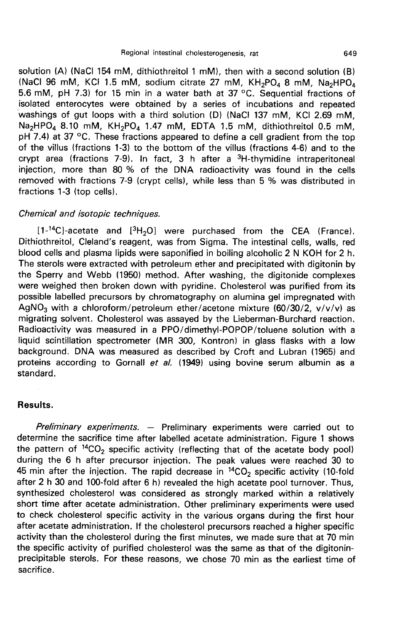solution (A) (NaCI 154 mM, dithiothreitol 1 mM), then with a second solution (B) 5.6 mM, pH 7.3) for 15 min in a water bath at 37 °C. Sequential fractions of (NaCI 96 mM, KCI 1.5 mM, sodium citrate 27 mM, rat<br>with a s<br>KH<sub>2</sub>PO<sub>4</sub><br>C. Sequ 8 mM, <sup>649</sup><br>ution (B)<br>Na<sub>2</sub>HPO<sub>4</sub><br>ctions of isolated enterocytes were obtained by a series of incubations and repeated washings of gut loops with a third solution (D) (NaCl 137 mM, KCl 2.69 mM, Na<sub>2</sub>HPO<sub>4</sub> 8.10 mM, KH<sub>2</sub>PO<sub>4</sub> 1.47 mM, EDTA 1.5 mM, dithiothreitol 0.5 mM, Nact 50 mM, NCT 1.3 mM, solutif clubbe 27 mM, NA<sub>2</sub>HPO<sub>4</sub> 8 mM, Na<sub>2</sub>HPO<sub>4</sub><br>5.6 mM, pH 7.3) for 15 min in a water bath at 37 °C. Sequential fractions of<br>isolated enterocytes were obtained by a series of incubations and re of the villus (fractions 1-3) to the bottom of the villus (fractions 4-6) and to the crypt area (fractions 7-9). In fact, 3 h after a  ${}^{3}$ H-thymidine intraperitoneal cryptor area (fractions 7-9). In fact, 3 h after a 3H-thymidine intraperitoneal injection, more than 80 % of the DNA radioactivity was found in the cells removed with fractions 7-9). In fact, 3 h after a 3H-thymidine intr injection, more than 80 % of the DNA radioactivity was found in the cells removed with fractions 7-9 (crypt cells), while less than 5 % was distributed in fractions 1-3 (top cells). erypt area (fractions 7-9). In fact, 3 h after a <sup>3</sup>H-thymidine intraperitoneal<br>injection, more than 80 % of the DNA radioactivity was found in the cells<br>removed with fractions 7-9 (crypt cells), while less than 5 % was di

### Chemical and isotopic techniques.

blood cells and plasma lipids were saponified in boiling alcoholic 2 N KOH for 2 h. The sterols were extracted with petroleum ether and precipitated with digitonin by the Sperry and Webb (1950) method. After washing, the digitonide complexes were weighed then broken down with pyridine. Cholesterol was purified from its possible labelled precursors by chromatography on alumina gel impregnated with The Sperry and Webb (1350) method. After washing, the digitomic complexes<br>were weighed then broken down with pyridine. Cholesterol was purified from its<br>possible labelled precursors by chromatography on alumina gel impregn migrating solvent. Cholesterol was assayed by the Lieberman-Burchard reaction. Radioactivity was measured in a PPO/dimethyl-POPOP/toluene solution with a liquid scintillation spectrometer (MR 300, Kontron) in glass flasks with a low background. DNA was measured as described by Croft and Lubran (1965) and proteins according to Gornall et al. (1949) using bovine serum albumin as a standard.

## Results.

Preliminary experiments.  $-$  Preliminary experiments were carried out to determine the sacrifice time after labelled acetate administration. Figure 1 shows the pattern of  ${}^{14}CO_2$  specific activity (reflecting that of the acetate body pool) during the 6 h after precursor injection. The peak values were reached 30 to 45 min after the injection. The rapid decrease in  ${}^{14}CO_2$  specific activity (10-fold after 2 h 30 and 100-fold after 6 h) revealed the high acetate pool turnover. Thus, synthesized cholesterol was considered as strongly marked within a relatively short time after acetate administration. Other preliminary experiments were used to check cholesterol specific activity in the various organs during the first hour after acetate administration. If the cholesterol precursors reached a higher specific activity than the cholesterol during the first minutes, we made sure that at 70 min the specific activity of purified cholesterol was the same as that of the digitoninprecipitable sterols. For these reasons, we chose 70 min as the earliest time of sacrifice.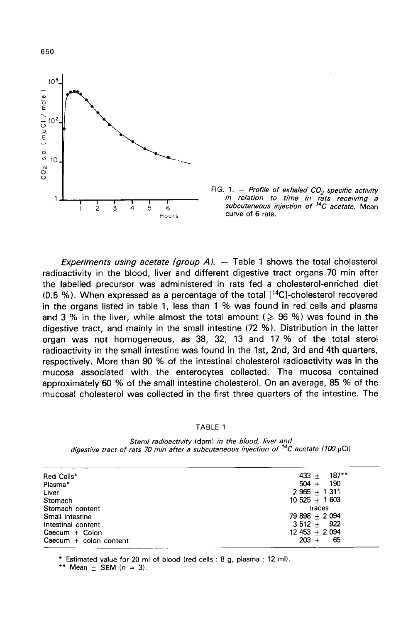



Experiments using acetate (group  $A$ ).  $-$  Table 1 shows the total cholesterol radioactivity in the blood, liver and different digestive tract organs 70 min after the labelled precursor was administered in rats fed a cholesterol-enriched diet (0.5 %). When expressed as a percentage of the total [<sup>14</sup>C]-cholesterol recovered in the organs listed in table 1, less than 1 % was found in red cells and plasma and 3 % in the liver, while almost the total amount ( $\geqslant$  96 %) was found in the digestive tract, and mainly in the small intestine (72 %). Distribution in the latter organ was not homogeneous, as 38, 32, 13 and 17 % of the total sterol radioactivity in the small intestine was found in the 1st, 2nd, 3rd and 4th quarters, respectively. More than 90 % of the intestinal cholesterol radioactivity was in the mucosa associated with the enterocytes collected. The mucosa contained approximately 60 % of the small intestine cholesterol. On an average, 85 % of the mucosal cholesterol was collected in the first three quarters of the intestine. The

#### **TABLE 1**

Sterol radioactivity (dpm) in the blood, liver and digestive tract of rats 70 min after a subcutaneous injection of <sup>14</sup>C acetate (100 uCi)

| Red Cells*               | $187***$<br>$433 +$ |
|--------------------------|---------------------|
| Plasma*                  | 190<br>$504 +$      |
| Liver                    | $2965 + 1311$       |
| Stomach                  | $10\,525 + 1\,603$  |
| Stomach content          | traces              |
| Small intestine          | 79 898 + 2 094      |
| Intestinal content       | $3\,512 + 922$      |
| $Caecum + Colon$         | $12453 + 2094$      |
| Caecum $+$ colon content | -65<br>$203 +$      |
|                          |                     |

\* Estimated value for 20 ml of blood (red cells : 8 g, plasma : 12 ml).

\*\* Mean  $\pm$  SEM (n = 3).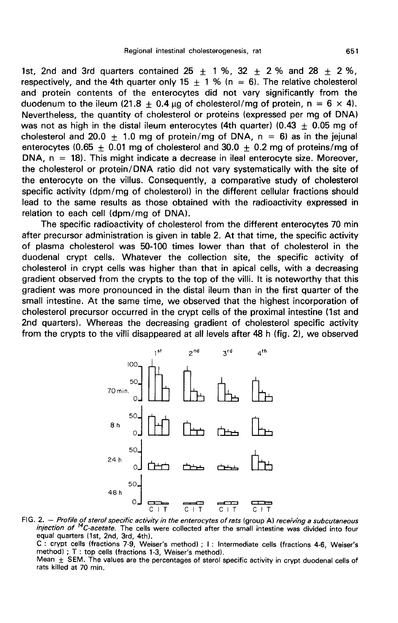1st, 2nd and 3rd quarters contained 25  $\pm$  1 %, 32  $\pm$  2 % and 28  $\pm$  2 %, respectively, and the 4th quarter only 15  $\pm$  1 % (n = 6). The relative cholesterol and protein contents of the enterocytes did not vary significantly from the duodenum to the ileum (21.8  $\pm$  0.4 µg of cholesterol/mg of protein, n = 6  $\times$  4). Nevertheless, the quantity of cholesterol or proteins (expressed per mg of DNA) was not as high in the distal ileum enterocytes (4th quarter) (0.43  $\pm$  0.05 mg of cholesterol and 20.0  $+$  1.0 mg of protein/mg of DNA,  $n = 6$ ) as in the jejunal enterocytes (0.65  $\pm$  0.01 mg of cholesterol and 30.0  $\pm$  0.2 mg of proteins/mg of  $DNA, n = 18$ ). This might indicate a decrease in ileal enterocyte size. Moreover, the cholesterol or protein/DNA ratio did not vary systematically with the site of the enterocyte on the villus. Consequently, a comparative study of cholesterol specific activity (dpm/mg of cholesterol) in the different cellular fractions should lead to the same results as those obtained with the radioactivity expressed in relation to each cell (dpm/mg of DNA).

The specific radioactivity of cholesterol from the different enterocytes 70 min after precursor administration is given in table 2. At that time, the specific activity of plasma cholesterol was 50-100 times lower than that of cholesterol in the duodenal crypt cells. Whatever the collection site, the specific activity of cholesterol in crypt cells was higher than that in apical cells, with a decreasing gradient observed from the crypts to the top of the villi. It is noteworthy that this gradient was more pronounced in the distal ileum than in the first quarter of the small intestine. At the same time, we observed that the highest incorporation of cholesterol precursor occurred in the crypt cells of the proximal intestine (1st and 2nd quarters). Whereas the decreasing gradient of cholesterol specific activity from the crypts to the villi disappeared at all levels after 48 h (fig. 2), we observed



FIG. 2. - Profile of sterol specific activity in the enterocytes of rats (group A) receiving a subcutaneous injection of <sup>14</sup>C-acetate. The cells were collected after the small intestine was divided into four equal quarte C: crypt cells (fractions 7-9, Weiser's method) ; I: Intermediate cells (fractions 4-6, Weiser's method) ; T : top cells (fractions 1-3, Weiser's method). Mean  $\pm$  SEM. The values are the percentages of sterol specific activity in crypt duodenal cells of

rats killed at 70 min.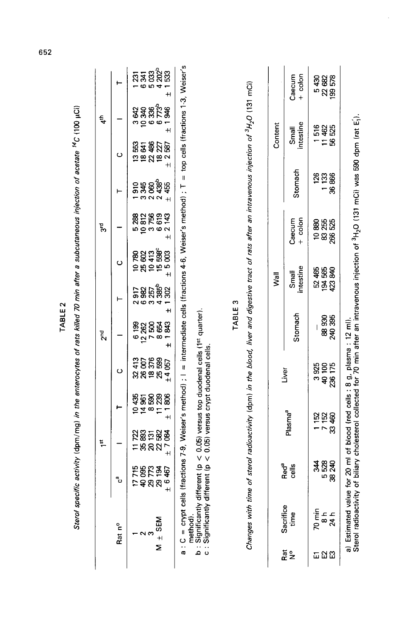|                     | Sterol specific                                                                                                                                                                                                                                                                         |                                      | $\frac{51}{2}$                                      |                                                 |                                                                                    | 2nd                                                  |                                                                            |                                                         | activity (dpm/mg) in the enterocytes of rats killed 70 min after a subcutaneous injection of acetate <sup>14</sup> C (100 µCi)<br>पू<br>ल               |                                                               |                                                                                      | $\ddot{\dot{a}}$                          |                                                   |
|---------------------|-----------------------------------------------------------------------------------------------------------------------------------------------------------------------------------------------------------------------------------------------------------------------------------------|--------------------------------------|-----------------------------------------------------|-------------------------------------------------|------------------------------------------------------------------------------------|------------------------------------------------------|----------------------------------------------------------------------------|---------------------------------------------------------|---------------------------------------------------------------------------------------------------------------------------------------------------------|---------------------------------------------------------------|--------------------------------------------------------------------------------------|-------------------------------------------|---------------------------------------------------|
|                     | Rat nº                                                                                                                                                                                                                                                                                  | ە<br>م                               |                                                     | ⊢                                               | ပ                                                                                  |                                                      | ⊢                                                                          | ပ                                                       |                                                                                                                                                         | ⊢                                                             | ပ                                                                                    |                                           |                                                   |
| $\frac{+1}{2}$      | <b>SEM</b>                                                                                                                                                                                                                                                                              | <b>58888</b><br>188588<br>$\ddot{+}$ | សន្លឹក<br>ក្នុងខ្លួង<br>ក្នុងខ្លួង<br>$\frac{1}{1}$ | \$<br>\$\$\$\$\$<br>2 \$ \$ \$ \$<br>$\ddot{+}$ | $\begin{array}{c} 32\,413 \\ 26\,007 \\ 18\,376 \\ 25\,699 \\ +4\,057 \end{array}$ | 7500<br>8654<br>1843<br>6 199<br>12 262<br>$\ddot{}$ | 4385 <sup>b</sup><br>1302<br>6 982<br>3 257<br>517<br>៷៰<br>$\overline{+}$ | <b>គម្ពុក និង</b><br>មាន អូច<br>ស្រុក និង<br>$\ddot{+}$ | $\pm$                                                                                                                                                   | 2060<br>2438 <sup>b</sup><br>3345<br>455<br>န္တ<br>$\ddot{+}$ | $\begin{array}{c} 22\,486 \\ 18\,27 \\ \pm\,2\,587 \end{array}$<br>ន្ល<br>18641<br>ë | <b>988598</b><br>888598<br>88859<br>$\pm$ | ក្នុង ខ្លួន<br>ក្នុង ខ្លួន ខ្លួ<br>$\overline{+}$ |
|                     | a : C = crypt cells (fractions 7-9, Weiser's method) ; I = intermediate cells (fractions 4-6, Weiser's method) ; T<br>b : Significantly different (p < 0.05) versus top duodenal cells (1¤ quarter).<br>c : Significantly different (p < 0.05) versus crypt duodenal cells.<br>method). |                                      |                                                     |                                                 |                                                                                    |                                                      |                                                                            |                                                         |                                                                                                                                                         | $\mathbf{u}$                                                  | top cells (fractions 1-3, Weiser's                                                   |                                           |                                                   |
|                     | Changes with time                                                                                                                                                                                                                                                                       |                                      |                                                     |                                                 |                                                                                    |                                                      | TABLE <sub>3</sub>                                                         |                                                         | of sterol radioactivity (dpm) in the blood, liver and digestive tract of rats after an intravenous injection of <sup>3</sup> H <sub>2</sub> O (131 mCi) |                                                               |                                                                                      |                                           |                                                   |
|                     |                                                                                                                                                                                                                                                                                         |                                      |                                                     |                                                 |                                                                                    |                                                      |                                                                            | 尾く                                                      |                                                                                                                                                         |                                                               |                                                                                      | Content                                   |                                                   |
| ក្ខី <mark>ខ</mark> | Sacrifice<br>time                                                                                                                                                                                                                                                                       | Red <sup>a</sup><br>cells            |                                                     | Plasma <sup>a</sup>                             | Liver                                                                              | Stomach                                              |                                                                            | intestine<br>Small                                      | colon<br>Caecum<br>$\ddot{+}$                                                                                                                           | Stomach                                                       |                                                                                      | intestine<br>Small                        | $+$ colon<br>Caecum                               |
| <u>ក ជ ជ</u>        | 70 min<br>24 h<br>$\frac{1}{\infty}$                                                                                                                                                                                                                                                    | <sup>2</sup><br>48<br>48<br>240<br>8 | ಣ                                                   | 1 152<br>7 152<br>460                           | 40 100<br>236 175<br>925<br>ø                                                      | 240 395<br>88930                                     |                                                                            | 52 465<br>24 568<br>24 34 25                            | 83 255<br>266 525<br>10880                                                                                                                              | $\frac{88}{136}$<br>126<br>ã                                  |                                                                                      | 1516<br>11462<br>56525                    | 22 682<br>199 578<br>5430                         |
|                     | Sterol radioactivity of biliary cholesterol collected for 70 min after an intravenous injection of <sup>3</sup> H <sub>2</sub> O (131 mCl) was 590 dpm (rat E <sub>1</sub> ).<br>a) Estimated value f                                                                                   |                                      |                                                     |                                                 | or 20 ml of blood (red cells : 8 g, plasma : 12 ml).                               |                                                      |                                                                            |                                                         |                                                                                                                                                         |                                                               |                                                                                      |                                           |                                                   |

l.

652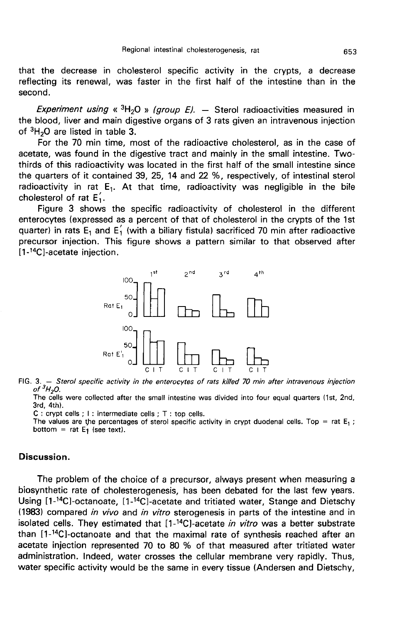that the decrease in cholesterol specific activity in the crypts, a decrease reflecting its renewal, was faster in the first half of the intestine than in the second.

Experiment using «  $3H<sub>2</sub>O$  » (group E). - Sterol radioactivities measured in the blood, liver and main digestive organs of 3 rats given an intravenous injection<br>of  ${}^{3}H_{2}O$  are listed in table 3.<br>For the 70 min time, most of the radioactive obeletated, as in the case of

For the 70 min time, most of the radioactive cholesterol, as in the case of acetate, was found in the digestive tract and mainly in the small intestine. Twothirds of this radioactivity was located in the first half of the small intestine since the quarters of it contained 39, 25, 14 and 22 %, respectively, of intestinal sterol radioactivity in rat  $E_1$ . At that time, radioactivity was negligible in the bile cholesterol of rat  $E'_1$ .

Figure 3 shows the specific radioactivity of cholesterol in the different enterocytes (expressed as a percent of that of cholesterol in the crypts of the 1st quarter) in rats E<sub>1</sub> and E $_{\rm i}$  (with a biliary fistula) sacrificed 70 min after radioactive precursor injection. This figure shows a pattern similar to that observed after<br>[1-<sup>14</sup>C]-acetate injection. enterocytes (expressed a<br>quarter) in rats E<sub>1</sub> and E<br>precursor injection. Thi<br>[1-<sup>14</sup>C]-acetate injection.



FIG. 3. - Sterol specific activity in the enterocytes of rats killed 70 min after intravenous injection of  ${}^3H_2O$ .

The cells were collected after the small intestine was divided into four equal quarters (1st, 2nd, 3rd, 4th).

## Discussion.

The problem of the choice of a precursor, always present when measuring a biosynthetic rate of cholesterogenesis, has been debated for the last few years. C: crypt cells; 1: intermediate cells; T: top cells.<br>
The values are the percentages of sterol specific activity in crypt duodenal cells. Top = rat E<sub>1</sub>;<br>
bottom = rat E<sub>1</sub> (see text).<br> **Discussion.**<br>
The problem of the c (1983) compared in vivo and in vitro sterogenesis in parts of the intestine and in isolated cells. They estimated that  $[1-14C]$ -acetate in vitro was a better substrate Using  $[1^{-14}C]$ -octanoate,  $[1^{-14}C]$ -acetate and tritiated water, Stange and Dietschy (1983) compared *in vivo* and *in vitro* sterogenesis in parts of the intestine and in isolated cells. They estimated that  $[1^{-14}C]$ **Discussion.**<br>The problem of the choice of a precursor, always present when measuring a<br>biosynthetic rate of cholesterogenesis, has been debated for the last few years.<br>Using  $[1^{-14}C]$ -octanoate,  $[1^{-14}C]$ -acetate and t acetate injection represented 70 to 80 % of that measured after tritiated water administration. Indeed, water crosses the cellular membrane very rapidly. Thus, water specific activity would be the same in every tissue (Andersen and Dietschy,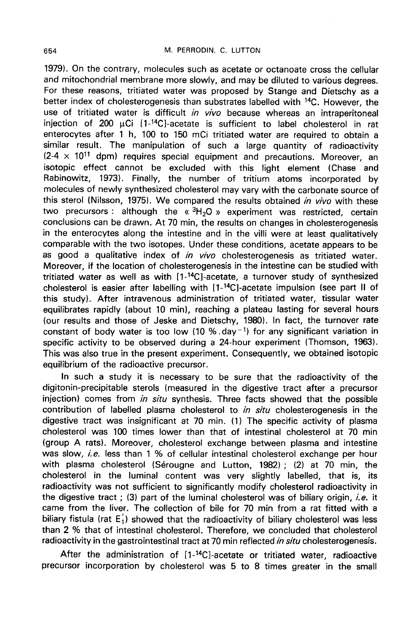1979). On the contrary, molecules such as acetate or octanoate cross the cellular and mitochondrial membrane more slowly, and may be diluted to various degrees. For these reasons, tritiated water was proposed by Stange and Dietschy as a better index of cholesterogenesis than substrates labelled with <sup>14</sup>C. However, the use of tritiated water is difficult in vivo because whereas an intraperitoneal injection of 200  $\mu$ Ci [1-<sup>14</sup>C]-acetate is sufficient to label cholesterol in rat enterocytes after 1 h, 100 to 150 mCi tritiated water are required to obtain a similar result. The manipulation of such a large quantity of radioactivity  $(2-4 \times 10^{11}$  dpm) requires special equipment and precautions. Moreover, an isotopic effect cannot be excluded with this light element (Chase and Rabinowitz, 1973). Finally, the number of tritium atoms incorporated by molecules of newly synthesized cholesterol may vary with the carbonate source of this sterol (Nilsson, 1975). We compared the results obtained in vivo with these two precursors : although the « ${}^{3}H_{2}O$  » experiment was restricted, certain conclusions can be drawn. At 70 min, the results on changes in cholesterogenesis in the enterocytes along the intestine and in the villi were at least qualitatively comparable with the two isotopes. Under these conditions, acetate appears to be as good a qualitative index of *in vivo* cholesterogenesis as tritiated water. Moreover, if the location of cholesterogenesis in the intestine can be studied with tritiated water as well as with [1-!4C]-acetate, a turnover study of synthesized as good a qualitative index of *in vivo* cholesterogenesis as tritiated water.<br>Moreover, if the location of cholesterogenesis in the intestine can be studied with<br>tritiated water as well as with  $[1^{-14}C]$ -acetate, a turn this study). After intravenous administration of tritiated water, tissular water equilibrates rapidly (about 10 min), reaching a plateau lasting for several hours (our results and those of Jeske and Dietschy, 1980). In fact, the turnover rate cholesterol is easier after labelling with  $[1^{-14}C]$ -acetate impulsion (see part II of<br>this study). After intravenous administration of tritiated water, tissular water<br>equilibrates rapidly (about 10 min), reaching a plat specific activity to be observed during a 24-hour experiment (Thomson, 1963). This was also true in the present experiment. Consequently, we obtained isotopic equilibrium of the radioactive precursor.

In such a study it is necessary to be sure that the radioactivity of the digitonin-precipitable sterols (measured in the digestive tract after a precursor injection) comes from in situ synthesis. Three facts showed that the possible contribution of labelled plasma cholesterol to in situ cholesterogenesis in the digestive tract was insignificant at 70 min. (1) The specific activity of plasma cholesterol was 100 times lower than that of intestinal cholesterol at 70 min (group A rats). Moreover, cholesterol exchange between plasma and intestine was slow, *i.e.* less than 1 % of cellular intestinal cholesterol exchange per hour with plasma cholesterol (Sérougne and Lutton, 1982) ; (2) at 70 min, the cholesterol in the luminal content was very slightly labelled, that is, its radioactivity was not sufficient to significantly modify cholesterol radioactivity in the digestive tract ; (3) part of the luminal cholesterol was of biliary origin, *i.e.* it came from the liver. The collection of bile for 70 min from a rat fitted with a biliary fistula (rat  $E'_1$ ) showed that the radioactivity of biliary cholesterol was less than 2 % that of intestinal cholesterol. Therefore, we concluded that cholesterol radioactivity in the gastrointestinal tract at 70 min reflected in situ cholesterogenesis.

After the administration of [1-<sup>14</sup>C]-acetate or tritiated water, radioactive precursor incorporation by cholesterol was 5 to 8 times greater in the small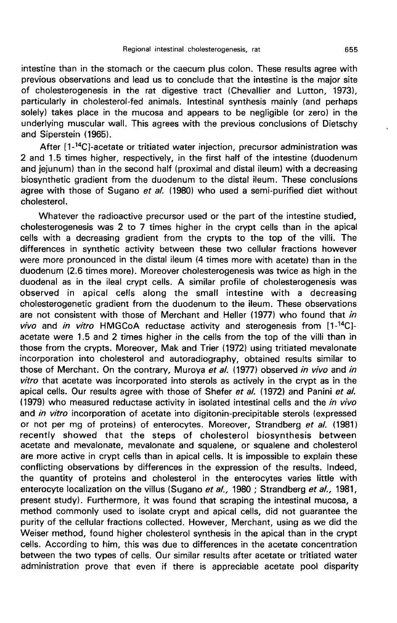intestine than in the stomach or the caecum plus colon. These results agree with previous observations and lead us to conclude that the intestine is the major site of cholesterogenesis in the rat digestive tract (Chevallier and Lutton, 1973), particularly in cholesterol-fed animals. Intestinal synthesis mainly (and perhaps solely) takes place in the mucosa and appears to be negligible (or zero) in the underlying muscular wall. This agrees with the previous conclusions of Dietschy and Siperstein (1965).

After [1-<sup>14</sup>C]-acetate or tritiated water injection, precursor administration was 2 and 1.5 times higher, respectively, in the first half of the intestine (duodenum and jejunum) than in the second half (proximal and distal ileum) with a decreasing biosynthetic gradient from the duodenum to the distal ileum. These conclusions agree with those of Sugano et al. (1980) who used a semi-purified diet without cholesterol.

Whatever the radioactive precursor used or the part of the intestine studied, cholesterogenesis was 2 to 7 times higher in the crypt cells than in the apical cells with a decreasing gradient from the crypts to the top of the villi. The differences in synthetic activity between these two cellular fractions however were more pronounced in the distal ileum (4 times more with acetate) than in the duodenum (2.6 times more). Moreover cholesterogenesis was twice as high in the duodenal as in the ileal crypt cells. A similar profile of cholesterogenesis was observed in apical cells along the small intestine with a decreasing cholesterogenetic gradient from the duodenum to the ileum. These observations are not consistent with those of Merchant and Heller (1977) who found that in observed in apical cells along the small intestine with a decreasing<br>cholesterogenetic gradient from the duodenum to the ileum. These observations<br>are not consistent with those of Merchant and Heller (1977) who found that acetate were 1.5 and 2 times higher in the cells from the top of the villi than in those from the crypts. Moreover, Mak and Trier (1972) using tritiated mevalonate incorporation into cholesterol and autoradiography, obtained results similar to those of Merchant. On the contrary, Muroya et al. (1977) observed in vivo and in vitro that acetate was incorporated into sterols as actively in the crypt as in the apical cells. Our results agree with those of Shefer et al. (1972) and Panini et al. (1979) who measured reductase activity in isolated intestinal cells and the in vivo and *in vitro* incorporation of acetate into digitonin-precipitable sterols (expressed or not per mg of proteins) of enterocytes. Moreover, Strandberg et al. (1981) recently showed that the steps of cholesterol biosynthesis between acetate and mevalonate, mevalonate and squalene, or squalene and cholesterol are more active in crypt cells than in apical cells. It is impossible to explain these conflicting observations by differences in the expression of the results. Indeed, the quantity of proteins and cholesterol in the enterocytes varies little with enterocyte localization on the villus (Sugano et al., 1980; Strandberg et al., 1981, present study). Furthermore, it was found that scraping the intestinal mucosa, a method commonly used to isolate crypt and apical cells, did not guarantee the purity of the cellular fractions collected. However, Merchant, using as we did the Weiser method, found higher cholesterol synthesis in the apical than in the crypt cells. According to him, this was due to differences in the acetate concentration between the two types of cells. Our similar results after acetate or tritiated water administration prove that even if there is appreciable acetate pool disparity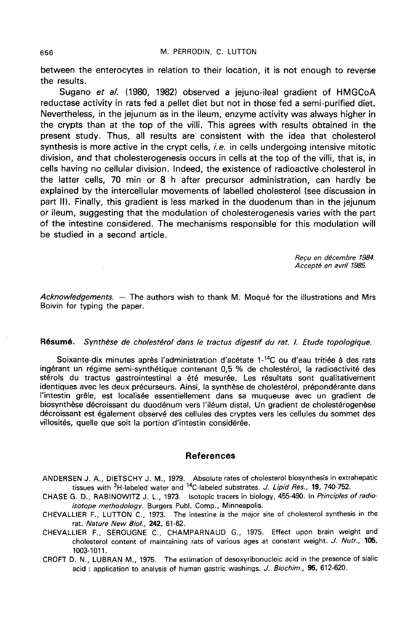between the enterocytes in relation to their location, it is not enough to reverse the results.

Sugano et al. (1980, 1982) observed a jejuno-ileal gradient of HMGCoA reductase activity in rats fed a pellet diet but not in those fed a semi-purified diet. Nevertheless, in the jejunum as in the ileum, enzyme activity was always higher in the crypts than at the top of the villi. This agrees with results obtained in the present study. Thus, all results are consistent with the idea that cholesterol synthesis is more active in the crypt cells,  $i.e.$  in cells undergoing intensive mitotic division, and that cholesterogenesis occurs in cells at the top of the villi, that is, in cells having no cellular division. Indeed, the existence of radioactive cholesterol in the latter cells, 70 min or 8 h after precursor administration, can hardly be explained by the intercellular movements of labelled cholesterol (see discussion in part 11). Finally, this gradient is less marked in the duodenum than in the jejunum or ileum, suggesting that the modulation of cholesterogenesis varies with the part of the intestine considered. The mechanisms responsible for this modulation will be studied in a second article.

> Recu en décembre 1984. Accepté en avril 1985.

Acknowledgements. — The authors wish to thank M. Moqué for the illustrations and Mrs Boivin for typing the paper.

## Résumé. Synthèse de cholestérol dans le tractus digestif du rat. I. Etude topologique.

Soixante-dix minutes après l'administration d'acétate 1-<sup>14</sup>C ou d'eau tritiée à des rats ingérant un régime semi-synthétique contenant 0,5 % de cholestérol, la radioactivité des stérols du tractus gastrointestinal a été mesurée. Les résultats sont qualitativement identiques avec les deux précurseurs. Ainsi, la synthèse de cholestérol, prépondérante dans l'intestin grêle, est localisée essentiellement dans sa muqueuse avec un gradient de biosynthèse décroissant du duodénum vers l'iléum distal. Un gradient de cholestérogenèse décroissant est également observé des cellules des cryptes vers les cellules du sommet des villosités, quelle que soit la portion d'intestin considérée.

#### References

ANDERSEN J. A., DIETSCHY J. M., 1979. Absolute rates of cholesterol biosynthesis in extrahepatic tissues with  $3H$ -labeled water and  $14C$ -labeled substrates. J. Lipid Res., 19, 740-752.

CHASE G. D., RABINOWITZ J. L., 1973. Isotopic tracers in biology, 455-490. In Principles of radioisotope methodology. Burgers Publ. Comp., Minneapolis.

CHEVALLIER F., LUTTON C., 1973. The intestine is the major site of cholesterol synthesis in the rat. Nature New Biol., 242, 61-62.

CHEVALLIER F., SEROUGNE C., CHAMPARNAUD G., 1975. Effect upon brain weight and cholesterol content of maintaining rats of various ages at constant weight. J. Nutr., 105, 1003-1011.

CROFT D. N., LUBRAN M., 1975. The estimation of desoxyribonucleic acid in the presence of sialic acid : application to analysis of human gastric washings. J. Biochim., 95, 612-620.